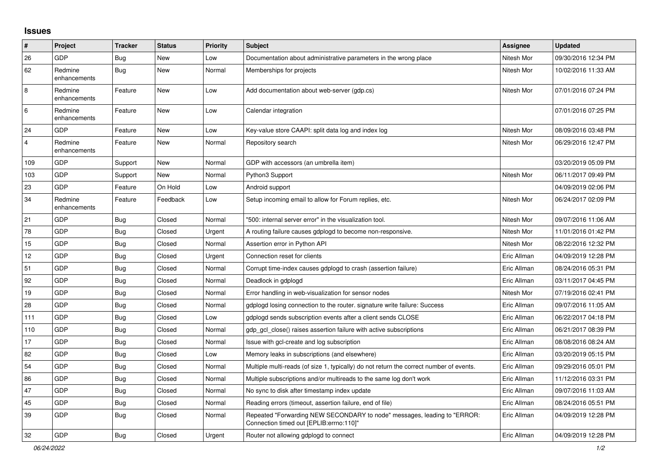## **Issues**

| ∣#             | Project                 | <b>Tracker</b> | <b>Status</b> | <b>Priority</b> | <b>Subject</b>                                                                                                      | <b>Assignee</b> | <b>Updated</b>      |
|----------------|-------------------------|----------------|---------------|-----------------|---------------------------------------------------------------------------------------------------------------------|-----------------|---------------------|
| 26             | <b>GDP</b>              | Bug            | <b>New</b>    | Low             | Documentation about administrative parameters in the wrong place                                                    | Nitesh Mor      | 09/30/2016 12:34 PM |
| 62             | Redmine<br>enhancements | <b>Bug</b>     | New           | Normal          | Memberships for projects                                                                                            | Nitesh Mor      | 10/02/2016 11:33 AM |
| 8              | Redmine<br>enhancements | Feature        | New           | Low             | Add documentation about web-server (gdp.cs)                                                                         | Nitesh Mor      | 07/01/2016 07:24 PM |
| $\,6\,$        | Redmine<br>enhancements | Feature        | New           | Low             | Calendar integration                                                                                                |                 | 07/01/2016 07:25 PM |
| 24             | <b>GDP</b>              | Feature        | <b>New</b>    | Low             | Key-value store CAAPI: split data log and index log                                                                 | Nitesh Mor      | 08/09/2016 03:48 PM |
| $\overline{4}$ | Redmine<br>enhancements | Feature        | New           | Normal          | Repository search                                                                                                   | Nitesh Mor      | 06/29/2016 12:47 PM |
| 109            | <b>GDP</b>              | Support        | <b>New</b>    | Normal          | GDP with accessors (an umbrella item)                                                                               |                 | 03/20/2019 05:09 PM |
| 103            | <b>GDP</b>              | Support        | New           | Normal          | Python3 Support                                                                                                     | Nitesh Mor      | 06/11/2017 09:49 PM |
| 23             | <b>GDP</b>              | Feature        | On Hold       | Low             | Android support                                                                                                     |                 | 04/09/2019 02:06 PM |
| 34             | Redmine<br>enhancements | Feature        | Feedback      | Low             | Setup incoming email to allow for Forum replies, etc.                                                               | Nitesh Mor      | 06/24/2017 02:09 PM |
| 21             | GDP                     | <b>Bug</b>     | Closed        | Normal          | "500: internal server error" in the visualization tool.                                                             | Nitesh Mor      | 09/07/2016 11:06 AM |
| 78             | GDP                     | <b>Bug</b>     | Closed        | Urgent          | A routing failure causes gdplogd to become non-responsive.                                                          | Nitesh Mor      | 11/01/2016 01:42 PM |
| 15             | GDP                     | Bug            | Closed        | Normal          | Assertion error in Python API                                                                                       | Nitesh Mor      | 08/22/2016 12:32 PM |
| 12             | <b>GDP</b>              | <b>Bug</b>     | Closed        | Urgent          | Connection reset for clients                                                                                        | Eric Allman     | 04/09/2019 12:28 PM |
| 51             | GDP                     | <b>Bug</b>     | Closed        | Normal          | Corrupt time-index causes gdplogd to crash (assertion failure)                                                      | Eric Allman     | 08/24/2016 05:31 PM |
| 92             | GDP                     | <b>Bug</b>     | Closed        | Normal          | Deadlock in gdplogd                                                                                                 | Eric Allman     | 03/11/2017 04:45 PM |
| 19             | <b>GDP</b>              | Bug            | Closed        | Normal          | Error handling in web-visualization for sensor nodes                                                                | Nitesh Mor      | 07/19/2016 02:41 PM |
| 28             | GDP                     | Bug            | Closed        | Normal          | gdplogd losing connection to the router, signature write failure: Success                                           | Eric Allman     | 09/07/2016 11:05 AM |
| 111            | <b>GDP</b>              | <b>Bug</b>     | Closed        | Low             | gdplogd sends subscription events after a client sends CLOSE                                                        | Eric Allman     | 06/22/2017 04:18 PM |
| 110            | GDP                     | Bug            | Closed        | Normal          | gdp gcl close() raises assertion failure with active subscriptions                                                  | Eric Allman     | 06/21/2017 08:39 PM |
| 17             | <b>GDP</b>              | <b>Bug</b>     | Closed        | Normal          | Issue with gcl-create and log subscription                                                                          | Eric Allman     | 08/08/2016 08:24 AM |
| 82             | <b>GDP</b>              | Bug            | Closed        | Low             | Memory leaks in subscriptions (and elsewhere)                                                                       | Eric Allman     | 03/20/2019 05:15 PM |
| 54             | GDP                     | <b>Bug</b>     | Closed        | Normal          | Multiple multi-reads (of size 1, typically) do not return the correct number of events.                             | Eric Allman     | 09/29/2016 05:01 PM |
| 86             | GDP                     | Bug            | Closed        | Normal          | Multiple subscriptions and/or multireads to the same log don't work                                                 | Eric Allman     | 11/12/2016 03:31 PM |
| 47             | <b>GDP</b>              | Bug            | Closed        | Normal          | No sync to disk after timestamp index update                                                                        | Eric Allman     | 09/07/2016 11:03 AM |
| 45             | <b>GDP</b>              | <b>Bug</b>     | Closed        | Normal          | Reading errors (timeout, assertion failure, end of file)                                                            | Eric Allman     | 08/24/2016 05:51 PM |
| 39             | GDP                     | <b>Bug</b>     | Closed        | Normal          | Repeated "Forwarding NEW SECONDARY to node" messages, leading to "ERROR:<br>Connection timed out [EPLIB:errno:110]" | Eric Allman     | 04/09/2019 12:28 PM |
| 32             | <b>GDP</b>              | Bug            | Closed        | Urgent          | Router not allowing gdplogd to connect                                                                              | Eric Allman     | 04/09/2019 12:28 PM |